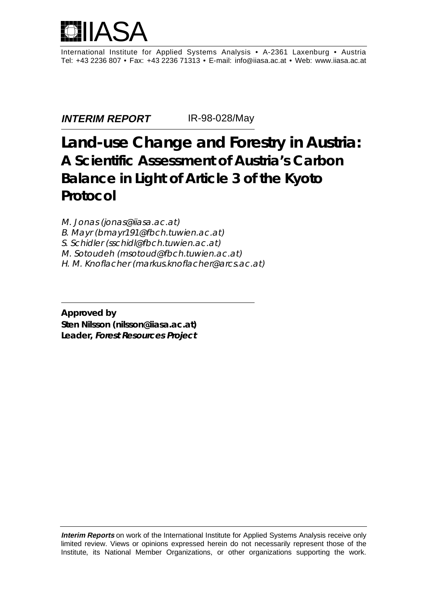

International Institute for Applied Systems Analysis • A-2361 Laxenburg • Austria Tel: +43 2236 807 • Fax: +43 2236 71313 • E-mail: info@iiasa.ac.at • Web: www.iiasa.ac.at

**INTERIM REPORT** IR-98-028/May

# **Land-use Change and Forestry in Austria: A Scientific Assessment of Austria's Carbon Balance in Light of Article 3 of the Kyoto Protocol**

M. Jonas (jonas@iiasa.ac.at) B. Mayr (bmayr191@fbch.tuwien.ac.at) S. Schidler (sschidl@fbch.tuwien.ac.at) M. Sotoudeh (msotoud@fbch.tuwien.ac.at) H. M. Knoflacher (markus.knoflacher@arcs.ac.at)

**Approved by Sten Nilsson (nilsson@iiasa.ac.at) Leader, Forest Resources Project**

**Interim Reports** on work of the International Institute for Applied Systems Analysis receive only limited review. Views or opinions expressed herein do not necessarily represent those of the Institute, its National Member Organizations, or other organizations supporting the work.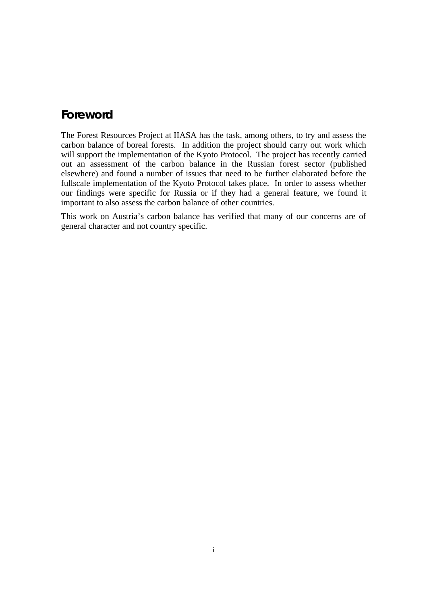# **Foreword**

The Forest Resources Project at IIASA has the task, among others, to try and assess the carbon balance of boreal forests. In addition the project should carry out work which will support the implementation of the Kyoto Protocol. The project has recently carried out an assessment of the carbon balance in the Russian forest sector (published elsewhere) and found a number of issues that need to be further elaborated before the fullscale implementation of the Kyoto Protocol takes place. In order to assess whether our findings were specific for Russia or if they had a general feature, we found it important to also assess the carbon balance of other countries.

This work on Austria's carbon balance has verified that many of our concerns are of general character and not country specific.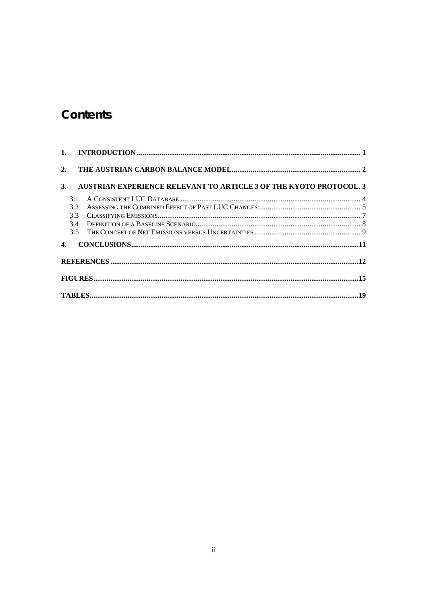# Contents

| 2. |     |                                                                    |  |
|----|-----|--------------------------------------------------------------------|--|
| 3. |     | AUSTRIAN EXPERIENCE RELEVANT TO ARTICLE 3 OF THE KYOTO PROTOCOL. 3 |  |
|    | 3.1 |                                                                    |  |
|    | 3.2 |                                                                    |  |
|    | 3.3 |                                                                    |  |
|    |     |                                                                    |  |
|    |     |                                                                    |  |
| 4. |     |                                                                    |  |
|    |     |                                                                    |  |
|    |     |                                                                    |  |
|    |     |                                                                    |  |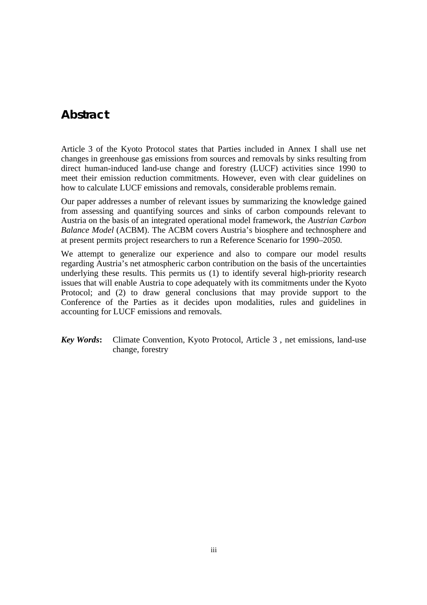## **Abstract**

Article 3 of the Kyoto Protocol states that Parties included in Annex I shall use net changes in greenhouse gas emissions from sources and removals by sinks resulting from direct human-induced land-use change and forestry (LUCF) activities since 1990 to meet their emission reduction commitments. However, even with clear guidelines on how to calculate LUCF emissions and removals, considerable problems remain.

Our paper addresses a number of relevant issues by summarizing the knowledge gained from assessing and quantifying sources and sinks of carbon compounds relevant to Austria on the basis of an integrated operational model framework, the *Austrian Carbon Balance Model* (ACBM). The ACBM covers Austria's biosphere and technosphere and at present permits project researchers to run a Reference Scenario for 1990–2050.

We attempt to generalize our experience and also to compare our model results regarding Austria's net atmospheric carbon contribution on the basis of the uncertainties underlying these results. This permits us (1) to identify several high-priority research issues that will enable Austria to cope adequately with its commitments under the Kyoto Protocol; and (2) to draw general conclusions that may provide support to the Conference of the Parties as it decides upon modalities, rules and guidelines in accounting for LUCF emissions and removals.

*Key Words***:** Climate Convention, Kyoto Protocol, Article 3 , net emissions, land-use change, forestry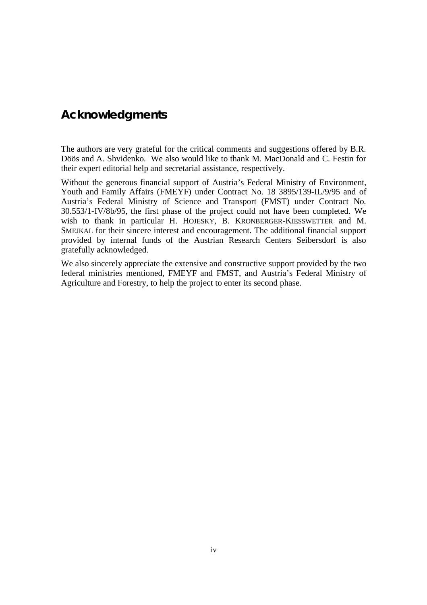# **Acknowledgments**

The authors are very grateful for the critical comments and suggestions offered by B.R. Döös and A. Shvidenko. We also would like to thank M. MacDonald and C. Festin for their expert editorial help and secretarial assistance, respectively.

Without the generous financial support of Austria's Federal Ministry of Environment, Youth and Family Affairs (FMEYF) under Contract No. 18 3895/139-IL/9/95 and of Austria's Federal Ministry of Science and Transport (FMST) under Contract No. 30.553/1-IV/8b/95, the first phase of the project could not have been completed. We wish to thank in particular H. HOJESKY, B. KRONBERGER-KIESSWETTER and M. SMEJKAL for their sincere interest and encouragement. The additional financial support provided by internal funds of the Austrian Research Centers Seibersdorf is also gratefully acknowledged.

We also sincerely appreciate the extensive and constructive support provided by the two federal ministries mentioned, FMEYF and FMST, and Austria's Federal Ministry of Agriculture and Forestry, to help the project to enter its second phase.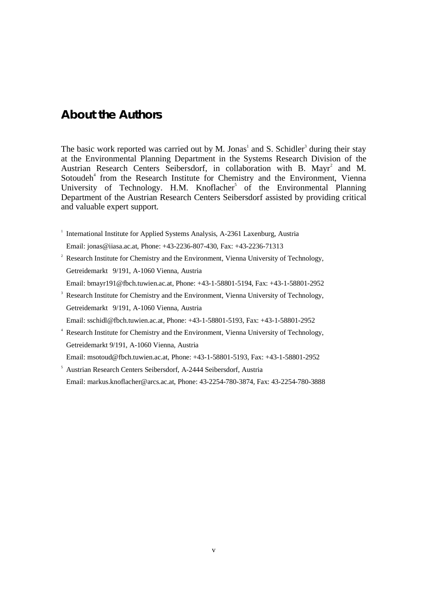### **About the Authors**

The basic work reported was carried out by M. Jonas<sup>1</sup> and S. Schidler<sup>3</sup> during their stay at the Environmental Planning Department in the Systems Research Division of the Austrian Research Centers Seibersdorf, in collaboration with B. Mayr<sup>2</sup> and M. Sotoudeh<sup>4</sup> from the Research Institute for Chemistry and the Environment, Vienna University of Technology. H.M. Knoflacher<sup>5</sup> of the Environmental Planning Department of the Austrian Research Centers Seibersdorf assisted by providing critical and valuable expert support.

<sup>1</sup> International Institute for Applied Systems Analysis, A-2361 Laxenburg, Austria

Email: jonas@iiasa.ac.at, Phone: +43-2236-807-430, Fax: +43-2236-71313

- <sup>2</sup> Research Institute for Chemistry and the Environment, Vienna University of Technology, Getreidemarkt 9/191, A-1060 Vienna, Austria
- Email: bmayr191@fbch.tuwien.ac.at, Phone: +43-1-58801-5194, Fax: +43-1-58801-2952
- 3 Research Institute for Chemistry and the Environment, Vienna University of Technology, Getreidemarkt 9/191, A-1060 Vienna, Austria
- Email: sschidl@fbch.tuwien.ac.at, Phone: +43-1-58801-5193, Fax: +43-1-58801-2952
- 4 Research Institute for Chemistry and the Environment, Vienna University of Technology, Getreidemarkt 9/191, A-1060 Vienna, Austria Email: msotoud@fbch.tuwien.ac.at, Phone: +43-1-58801-5193, Fax: +43-1-58801-2952
- 5 Austrian Research Centers Seibersdorf, A-2444 Seibersdorf, Austria Email: markus.knoflacher@arcs.ac.at, Phone: 43-2254-780-3874, Fax: 43-2254-780-3888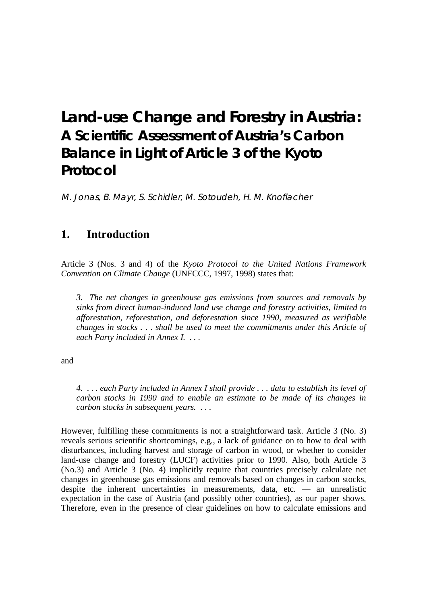# **Land-use Change and Forestry in Austria: A Scientific Assessment of Austria's Carbon Balance in Light of Article 3 of the Kyoto Protocol**

M. Jonas, B. Mayr, S. Schidler, M. Sotoudeh, H. M. Knoflacher

## **1. Introduction**

Article 3 (Nos. 3 and 4) of the *Kyoto Protocol to the United Nations Framework Convention on Climate Change* (UNFCCC, 1997, 1998) states that:

*3. The net changes in greenhouse gas emissions from sources and removals by sinks from direct human-induced land use change and forestry activities, limited to afforestation, reforestation, and deforestation since 1990, measured as verifiable changes in stocks . . . shall be used to meet the commitments under this Article of each Party included in Annex I. . . .*

and

*4. . . . each Party included in Annex I shall provide . . . data to establish its level of carbon stocks in 1990 and to enable an estimate to be made of its changes in carbon stocks in subsequent years. . . .*

However, fulfilling these commitments is not a straightforward task. Article 3 (No. 3) reveals serious scientific shortcomings, e.g., a lack of guidance on to how to deal with disturbances, including harvest and storage of carbon in wood, or whether to consider land-use change and forestry (LUCF) activities prior to 1990. Also, both Article 3 (No.3) and Article 3 (No. 4) implicitly require that countries precisely calculate net changes in greenhouse gas emissions and removals based on changes in carbon stocks, despite the inherent uncertainties in measurements, data, etc. — an unrealistic expectation in the case of Austria (and possibly other countries), as our paper shows. Therefore, even in the presence of clear guidelines on how to calculate emissions and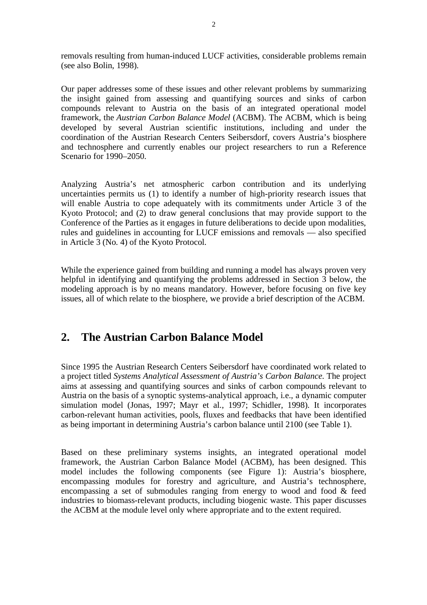removals resulting from human-induced LUCF activities, considerable problems remain (see also Bolin, 1998).

Our paper addresses some of these issues and other relevant problems by summarizing the insight gained from assessing and quantifying sources and sinks of carbon compounds relevant to Austria on the basis of an integrated operational model framework, the *Austrian Carbon Balance Model* (ACBM). The ACBM, which is being developed by several Austrian scientific institutions, including and under the coordination of the Austrian Research Centers Seibersdorf, covers Austria's biosphere and technosphere and currently enables our project researchers to run a Reference Scenario for 1990–2050.

Analyzing Austria's net atmospheric carbon contribution and its underlying uncertainties permits us (1) to identify a number of high-priority research issues that will enable Austria to cope adequately with its commitments under Article 3 of the Kyoto Protocol; and (2) to draw general conclusions that may provide support to the Conference of the Parties as it engages in future deliberations to decide upon modalities, rules and guidelines in accounting for LUCF emissions and removals — also specified in Article 3 (No. 4) of the Kyoto Protocol.

While the experience gained from building and running a model has always proven very helpful in identifying and quantifying the problems addressed in Section 3 below, the modeling approach is by no means mandatory. However, before focusing on five key issues, all of which relate to the biosphere, we provide a brief description of the ACBM.

# **2. The Austrian Carbon Balance Model**

Since 1995 the Austrian Research Centers Seibersdorf have coordinated work related to a project titled *Systems Analytical Assessment of Austria's Carbon Balance*. The project aims at assessing and quantifying sources and sinks of carbon compounds relevant to Austria on the basis of a synoptic systems-analytical approach, i.e., a dynamic computer simulation model (Jonas, 1997; Mayr et al., 1997; Schidler, 1998). It incorporates carbon-relevant human activities, pools, fluxes and feedbacks that have been identified as being important in determining Austria's carbon balance until 2100 (see Table 1).

Based on these preliminary systems insights, an integrated operational model framework, the Austrian Carbon Balance Model (ACBM), has been designed. This model includes the following components (see Figure 1): Austria's biosphere, encompassing modules for forestry and agriculture, and Austria's technosphere, encompassing a set of submodules ranging from energy to wood and food & feed industries to biomass-relevant products, including biogenic waste. This paper discusses the ACBM at the module level only where appropriate and to the extent required.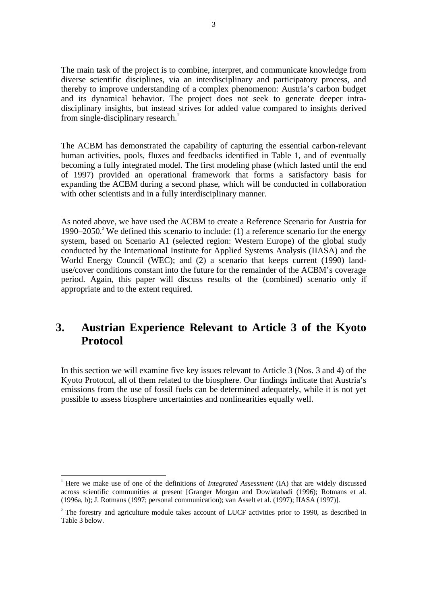The main task of the project is to combine, interpret, and communicate knowledge from diverse scientific disciplines, via an interdisciplinary and participatory process, and thereby to improve understanding of a complex phenomenon: Austria's carbon budget and its dynamical behavior. The project does not seek to generate deeper intradisciplinary insights, but instead strives for added value compared to insights derived from single-disciplinary research.<sup>1</sup>

The ACBM has demonstrated the capability of capturing the essential carbon-relevant human activities, pools, fluxes and feedbacks identified in Table 1, and of eventually becoming a fully integrated model. The first modeling phase (which lasted until the end of 1997) provided an operational framework that forms a satisfactory basis for expanding the ACBM during a second phase, which will be conducted in collaboration with other scientists and in a fully interdisciplinary manner.

As noted above, we have used the ACBM to create a Reference Scenario for Austria for 1990–2050.<sup>2</sup> We defined this scenario to include: (1) a reference scenario for the energy system, based on Scenario A1 (selected region: Western Europe) of the global study conducted by the International Institute for Applied Systems Analysis (IIASA) and the World Energy Council (WEC); and (2) a scenario that keeps current (1990) landuse/cover conditions constant into the future for the remainder of the ACBM's coverage period. Again, this paper will discuss results of the (combined) scenario only if appropriate and to the extent required.

# **3. Austrian Experience Relevant to Article 3 of the Kyoto Protocol**

In this section we will examine five key issues relevant to Article 3 (Nos. 3 and 4) of the Kyoto Protocol, all of them related to the biosphere. Our findings indicate that Austria's emissions from the use of fossil fuels can be determined adequately, while it is not yet possible to assess biosphere uncertainties and nonlinearities equally well.

<sup>|&</sup>lt;br>|<br>| Here we make use of one of the definitions of *Integrated Assessment* (IA) that are widely discussed across scientific communities at present [Granger Morgan and Dowlatabadi (1996); Rotmans et al. (1996a, b); J. Rotmans (1997; personal communication); van Asselt et al. (1997); IIASA (1997)].

<sup>&</sup>lt;sup>2</sup> The forestry and agriculture module takes account of LUCF activities prior to 1990, as described in Table 3 below.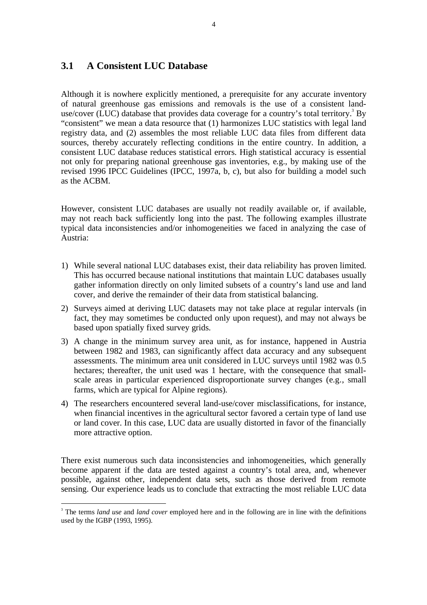#### **3.1 A Consistent LUC Database**

Although it is nowhere explicitly mentioned, a prerequisite for any accurate inventory of natural greenhouse gas emissions and removals is the use of a consistent landuse/cover (LUC) database that provides data coverage for a country's total territory.<sup>3</sup> By "consistent" we mean a data resource that (1) harmonizes LUC statistics with legal land registry data, and (2) assembles the most reliable LUC data files from different data sources, thereby accurately reflecting conditions in the entire country. In addition, a consistent LUC database reduces statistical errors. High statistical accuracy is essential not only for preparing national greenhouse gas inventories, e.g., by making use of the revised 1996 IPCC Guidelines (IPCC, 1997a, b, c), but also for building a model such as the ACBM.

However, consistent LUC databases are usually not readily available or, if available, may not reach back sufficiently long into the past. The following examples illustrate typical data inconsistencies and/or inhomogeneities we faced in analyzing the case of Austria:

- 1) While several national LUC databases exist, their data reliability has proven limited. This has occurred because national institutions that maintain LUC databases usually gather information directly on only limited subsets of a country's land use and land cover, and derive the remainder of their data from statistical balancing.
- 2) Surveys aimed at deriving LUC datasets may not take place at regular intervals (in fact, they may sometimes be conducted only upon request), and may not always be based upon spatially fixed survey grids.
- 3) A change in the minimum survey area unit, as for instance, happened in Austria between 1982 and 1983, can significantly affect data accuracy and any subsequent assessments. The minimum area unit considered in LUC surveys until 1982 was 0.5 hectares; thereafter, the unit used was 1 hectare, with the consequence that smallscale areas in particular experienced disproportionate survey changes (e.g*.*, small farms, which are typical for Alpine regions).
- 4) The researchers encountered several land-use/cover misclassifications, for instance, when financial incentives in the agricultural sector favored a certain type of land use or land cover. In this case, LUC data are usually distorted in favor of the financially more attractive option.

There exist numerous such data inconsistencies and inhomogeneities, which generally become apparent if the data are tested against a country's total area, and, whenever possible, against other, independent data sets, such as those derived from remote sensing. Our experience leads us to conclude that extracting the most reliable LUC data

<sup>&</sup>lt;sup>2</sup><br>3 <sup>3</sup> The terms *land use* and *land cover* employed here and in the following are in line with the definitions used by the IGBP (1993, 1995).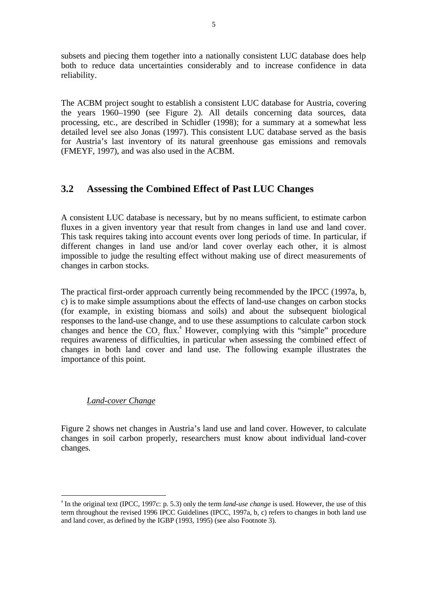subsets and piecing them together into a nationally consistent LUC database does help both to reduce data uncertainties considerably and to increase confidence in data reliability.

The ACBM project sought to establish a consistent LUC database for Austria, covering the years 1960–1990 (see Figure 2). All details concerning data sources, data processing, etc., are described in Schidler (1998); for a summary at a somewhat less detailed level see also Jonas (1997). This consistent LUC database served as the basis for Austria's last inventory of its natural greenhouse gas emissions and removals (FMEYF, 1997), and was also used in the ACBM.

#### **3.2 Assessing the Combined Effect of Past LUC Changes**

A consistent LUC database is necessary, but by no means sufficient, to estimate carbon fluxes in a given inventory year that result from changes in land use and land cover. This task requires taking into account events over long periods of time. In particular, if different changes in land use and/or land cover overlay each other, it is almost impossible to judge the resulting effect without making use of direct measurements of changes in carbon stocks.

The practical first-order approach currently being recommended by the IPCC (1997a, b, c) is to make simple assumptions about the effects of land-use changes on carbon stocks (for example, in existing biomass and soils) and about the subsequent biological responses to the land-use change, and to use these assumptions to calculate carbon stock changes and hence the  $CO_2$  flux.<sup>4</sup> However, complying with this "simple" procedure requires awareness of difficulties, in particular when assessing the combined effect of changes in both land cover and land use. The following example illustrates the importance of this point.

#### *Land-cover Change*

Figure 2 shows net changes in Austria's land use and land cover. However, to calculate changes in soil carbon properly, researchers must know about individual land-cover changes.

 <sup>4</sup> <sup>4</sup> In the original text (IPCC, 1997c: p. 5.3) only the term *land-use change* is used. However, the use of this term throughout the revised 1996 IPCC Guidelines (IPCC, 1997a, b, c) refers to changes in both land use and land cover, as defined by the IGBP (1993, 1995) (see also Footnote 3).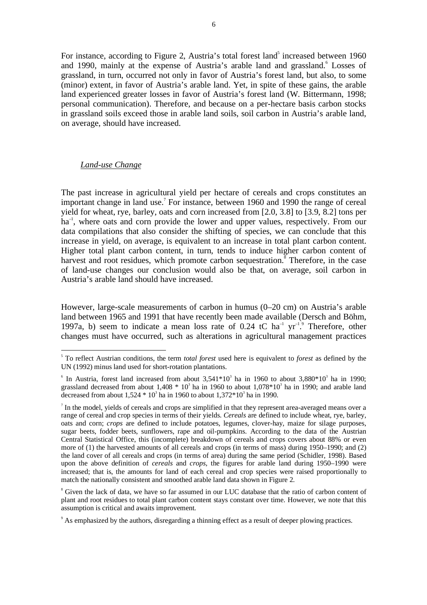For instance, according to Figure 2, Austria's total forest land<sup>5</sup> increased between  $1960$ and 1990, mainly at the expense of Austria's arable land and grassland. Losses of grassland, in turn, occurred not only in favor of Austria's forest land, but also, to some (minor) extent, in favor of Austria's arable land. Yet, in spite of these gains, the arable land experienced greater losses in favor of Austria's forest land (W. Bittermann, 1998; personal communication). Therefore, and because on a per-hectare basis carbon stocks in grassland soils exceed those in arable land soils, soil carbon in Austria's arable land, on average, should have increased.

#### *Land-use Change*

The past increase in agricultural yield per hectare of cereals and crops constitutes an important change in land use.<sup>7</sup> For instance, between 1960 and 1990 the range of cereal yield for wheat, rye, barley, oats and corn increased from [2.0, 3.8] to [3.9, 8.2] tons per ha<sup>-1</sup>, where oats and corn provide the lower and upper values, respectively. From our data compilations that also consider the shifting of species, we can conclude that this increase in yield, on average, is equivalent to an increase in total plant carbon content. Higher total plant carbon content, in turn, tends to induce higher carbon content of harvest and root residues, which promote carbon sequestration.<sup>8</sup> Therefore, in the case of land-use changes our conclusion would also be that, on average, soil carbon in Austria's arable land should have increased.

However, large-scale measurements of carbon in humus (0–20 cm) on Austria's arable land between 1965 and 1991 that have recently been made available (Dersch and Böhm, 1997a, b) seem to indicate a mean loss rate of  $0.24$  tC ha<sup>-1</sup> yr<sup>-1</sup>.<sup>9</sup> Therefore, other changes must have occurred, such as alterations in agricultural management practices

 <sup>5</sup> To reflect Austrian conditions, the term *total forest* used here is equivalent to *forest* as defined by the UN (1992) minus land used for short-rotation plantations.

<sup>&</sup>lt;sup>6</sup> In Austria, forest land increased from about  $3,541*10^3$  ha in 1960 to about  $3,880*10^3$  ha in 1990; grassland decreased from about  $1,408 * 10<sup>3</sup>$  ha in 1960 to about  $1,078 * 10<sup>3</sup>$  ha in 1990; and arable land decreased from about  $1,524 * 10^3$  ha in 1960 to about  $1,372 * 10^3$  ha in 1990.

In the model, yields of cereals and crops are simplified in that they represent area-averaged means over a range of cereal and crop species in terms of their yields. *Cereals* are defined to include wheat, rye, barley, oats and corn; *crops* are defined to include potatoes, legumes, clover-hay, maize for silage purposes, sugar beets, fodder beets, sunflowers, rape and oil-pumpkins. According to the data of the Austrian Central Statistical Office, this (incomplete) breakdown of cereals and crops covers about 88% or even more of (1) the harvested amounts of all cereals and crops (in terms of mass) during 1950–1990; and (2) the land cover of all cereals and crops (in terms of area) during the same period (Schidler, 1998). Based upon the above definition of *cereals* and *crops*, the figures for arable land during 1950–1990 were increased; that is, the amounts for land of each cereal and crop species were raised proportionally to match the nationally consistent and smoothed arable land data shown in Figure 2.

<sup>&</sup>lt;sup>8</sup> Given the lack of data, we have so far assumed in our LUC database that the ratio of carbon content of plant and root residues to total plant carbon content stays constant over time. However, we note that this assumption is critical and awaits improvement.

<sup>&</sup>lt;sup>9</sup> As emphasized by the authors, disregarding a thinning effect as a result of deeper plowing practices.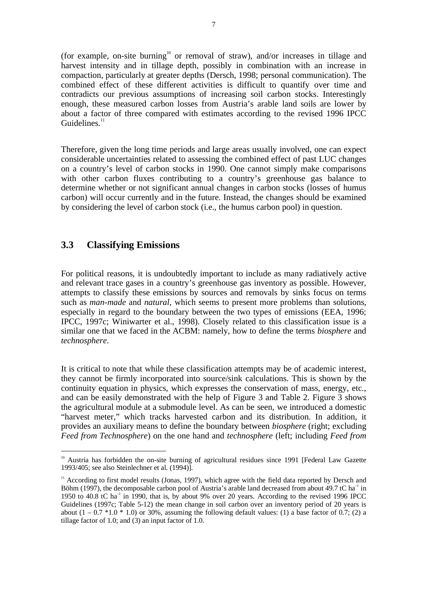(for example, on-site burning<sup>10</sup> or removal of straw), and/or increases in tillage and harvest intensity and in tillage depth, possibly in combination with an increase in compaction, particularly at greater depths (Dersch, 1998; personal communication). The combined effect of these different activities is difficult to quantify over time and contradicts our previous assumptions of increasing soil carbon stocks. Interestingly enough, these measured carbon losses from Austria's arable land soils are lower by about a factor of three compared with estimates according to the revised 1996 IPCC  $Guidelines<sup>11</sup>$ 

Therefore, given the long time periods and large areas usually involved, one can expect considerable uncertainties related to assessing the combined effect of past LUC changes on a country's level of carbon stocks in 1990. One cannot simply make comparisons with other carbon fluxes contributing to a country's greenhouse gas balance to determine whether or not significant annual changes in carbon stocks (losses of humus carbon) will occur currently and in the future. Instead, the changes should be examined by considering the level of carbon stock (i.e., the humus carbon pool) in question.

#### **3.3 Classifying Emissions**

For political reasons, it is undoubtedly important to include as many radiatively active and relevant trace gases in a country's greenhouse gas inventory as possible. However, attempts to classify these emissions by sources and removals by sinks focus on terms such as *man-made* and *natural*, which seems to present more problems than solutions, especially in regard to the boundary between the two types of emissions (EEA, 1996; IPCC, 1997c; Winiwarter et al., 1998). Closely related to this classification issue is a similar one that we faced in the ACBM: namely, how to define the terms *biosphere* and *technosphere*.

It is critical to note that while these classification attempts may be of academic interest, they cannot be firmly incorporated into source/sink calculations. This is shown by the continuity equation in physics, which expresses the conservation of mass, energy, etc., and can be easily demonstrated with the help of Figure 3 and Table 2. Figure 3 shows the agricultural module at a submodule level. As can be seen, we introduced a domestic "harvest meter," which tracks harvested carbon and its distribution. In addition, it provides an auxiliary means to define the boundary between *biosphere* (right; excluding *Feed from Technosphere*) on the one hand and *technosphere* (left; including *Feed from*

<sup>&</sup>lt;sup>10</sup> Austria has forbidden the on-site burning of agricultural residues since 1991 [Federal Law Gazette 1993/405; see also Steinlechner et al*.* (1994)].

 $11$  According to first model results (Jonas, 1997), which agree with the field data reported by Dersch and Böhm (1997), the decomposable carbon pool of Austria's arable land decreased from about 49.7 tC ha<sup>-1</sup> in 1950 to 40.8 tC ha<sup>-1</sup> in 1990, that is, by about 9% over 20 years. According to the revised 1996 IPCC Guidelines (1997c; Table 5-12) the mean change in soil carbon over an inventory period of 20 years is about  $(1 - 0.7 * 1.0 * 1.0)$  or 30%, assuming the following default values: (1) a base factor of 0.7; (2) a tillage factor of 1.0; and (3) an input factor of 1.0.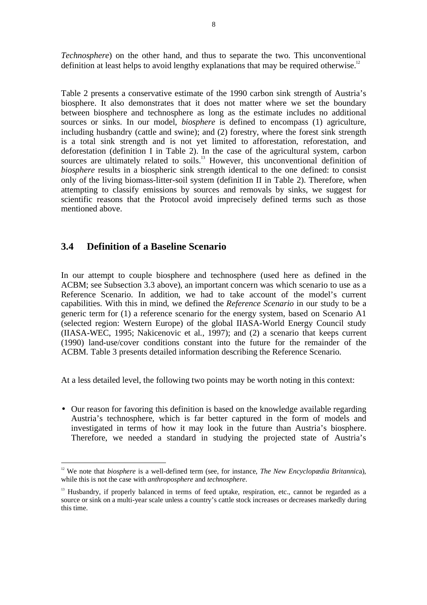*Technosphere*) on the other hand, and thus to separate the two. This unconventional definition at least helps to avoid lengthy explanations that may be required otherwise.<sup>12</sup>

Table 2 presents a conservative estimate of the 1990 carbon sink strength of Austria's biosphere. It also demonstrates that it does not matter where we set the boundary between biosphere and technosphere as long as the estimate includes no additional sources or sinks. In our model, *biosphere* is defined to encompass (1) agriculture, including husbandry (cattle and swine); and (2) forestry, where the forest sink strength is a total sink strength and is not yet limited to afforestation, reforestation, and deforestation (definition I in Table 2). In the case of the agricultural system, carbon sources are ultimately related to soils.<sup>13</sup> However, this unconventional definition of *biosphere* results in a biospheric sink strength identical to the one defined: to consist only of the living biomass-litter-soil system (definition II in Table 2). Therefore, when attempting to classify emissions by sources and removals by sinks, we suggest for scientific reasons that the Protocol avoid imprecisely defined terms such as those mentioned above.

#### **3.4 Definition of a Baseline Scenario**

In our attempt to couple biosphere and technosphere (used here as defined in the ACBM; see Subsection 3.3 above), an important concern was which scenario to use as a Reference Scenario. In addition, we had to take account of the model's current capabilities. With this in mind, we defined the *Reference Scenario* in our study to be a generic term for (1) a reference scenario for the energy system, based on Scenario A1 (selected region: Western Europe) of the global IIASA-World Energy Council study (IIASA-WEC, 1995; Nakicenovic et al., 1997); and (2) a scenario that keeps current (1990) land-use/cover conditions constant into the future for the remainder of the ACBM. Table 3 presents detailed information describing the Reference Scenario.

At a less detailed level, the following two points may be worth noting in this context:

• Our reason for favoring this definition is based on the knowledge available regarding Austria's technosphere, which is far better captured in the form of models and investigated in terms of how it may look in the future than Austria's biosphere. Therefore, we needed a standard in studying the projected state of Austria's

<sup>&</sup>lt;sup>12</sup> We note that *biosphere* is a well-defined term (see, for instance, *The New Encyclopædia Britannica*), while this is not the case with *anthroposphere* and *technosphere*.

<sup>&</sup>lt;sup>13</sup> Husbandry, if properly balanced in terms of feed uptake, respiration, etc., cannot be regarded as a source or sink on a multi-year scale unless a country's cattle stock increases or decreases markedly during this time.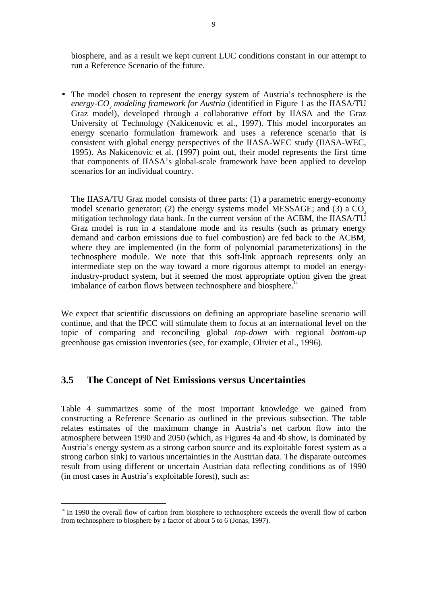biosphere, and as a result we kept current LUC conditions constant in our attempt to run a Reference Scenario of the future.

• The model chosen to represent the energy system of Austria's technosphere is the *energy-CO2 modeling framework for Austria* (identified in Figure 1 as the IIASA/TU Graz model), developed through a collaborative effort by IIASA and the Graz University of Technology (Nakicenovic et al., 1997). This model incorporates an energy scenario formulation framework and uses a reference scenario that is consistent with global energy perspectives of the IIASA-WEC study (IIASA-WEC, 1995). As Nakicenovic et al. (1997) point out, their model represents the first time that components of IIASA's global-scale framework have been applied to develop scenarios for an individual country.

The IIASA/TU Graz model consists of three parts: (1) a parametric energy-economy model scenario generator; (2) the energy systems model MESSAGE; and (3) a  $CO<sub>2</sub>$ mitigation technology data bank. In the current version of the ACBM, the IIASA/TU Graz model is run in a standalone mode and its results (such as primary energy demand and carbon emissions due to fuel combustion) are fed back to the ACBM, where they are implemented (in the form of polynomial parameterizations) in the technosphere module. We note that this soft-link approach represents only an intermediate step on the way toward a more rigorous attempt to model an energyindustry-product system, but it seemed the most appropriate option given the great imbalance of carbon flows between technosphere and biosphere.<sup>14</sup>

We expect that scientific discussions on defining an appropriate baseline scenario will continue, and that the IPCC will stimulate them to focus at an international level on the topic of comparing and reconciling global *top-down* with regional *bottom-up* greenhouse gas emission inventories (see, for example, Olivier et al., 1996).

#### **3.5 The Concept of Net Emissions versus Uncertainties**

Table 4 summarizes some of the most important knowledge we gained from constructing a Reference Scenario as outlined in the previous subsection. The table relates estimates of the maximum change in Austria's net carbon flow into the atmosphere between 1990 and 2050 (which, as Figures 4a and 4b show, is dominated by Austria's energy system as a strong carbon source and its exploitable forest system as a strong carbon sink) to various uncertainties in the Austrian data. The disparate outcomes result from using different or uncertain Austrian data reflecting conditions as of 1990 (in most cases in Austria's exploitable forest), such as:

<sup>&</sup>lt;sup>14</sup> In 1990 the overall flow of carbon from biosphere to technosphere exceeds the overall flow of carbon from technosphere to biosphere by a factor of about 5 to 6 (Jonas, 1997).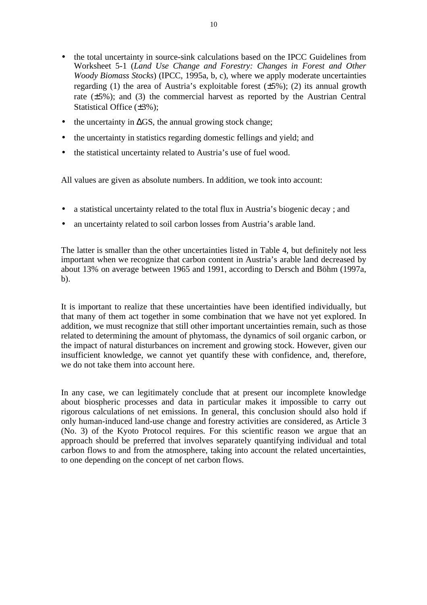- the total uncertainty in source-sink calculations based on the IPCC Guidelines from Worksheet 5-1 (*Land Use Change and Forestry: Changes in Forest and Other Woody Biomass Stocks*) (IPCC, 1995a, b, c), where we apply moderate uncertainties regarding (1) the area of Austria's exploitable forest  $(\pm 5\%)$ ; (2) its annual growth rate (±5%); and (3) the commercial harvest as reported by the Austrian Central Statistical Office (±3%);
- the uncertainty in  $\Delta GS$ , the annual growing stock change;
- the uncertainty in statistics regarding domestic fellings and yield; and
- the statistical uncertainty related to Austria's use of fuel wood.

All values are given as absolute numbers. In addition, we took into account:

- a statistical uncertainty related to the total flux in Austria's biogenic decay; and
- an uncertainty related to soil carbon losses from Austria's arable land.

The latter is smaller than the other uncertainties listed in Table 4, but definitely not less important when we recognize that carbon content in Austria's arable land decreased by about 13% on average between 1965 and 1991, according to Dersch and Böhm (1997a, b).

It is important to realize that these uncertainties have been identified individually, but that many of them act together in some combination that we have not yet explored. In addition, we must recognize that still other important uncertainties remain, such as those related to determining the amount of phytomass, the dynamics of soil organic carbon, or the impact of natural disturbances on increment and growing stock. However, given our insufficient knowledge, we cannot yet quantify these with confidence, and, therefore, we do not take them into account here.

In any case, we can legitimately conclude that at present our incomplete knowledge about biospheric processes and data in particular makes it impossible to carry out rigorous calculations of net emissions. In general, this conclusion should also hold if only human-induced land-use change and forestry activities are considered, as Article 3 (No. 3) of the Kyoto Protocol requires. For this scientific reason we argue that an approach should be preferred that involves separately quantifying individual and total carbon flows to and from the atmosphere, taking into account the related uncertainties, to one depending on the concept of net carbon flows.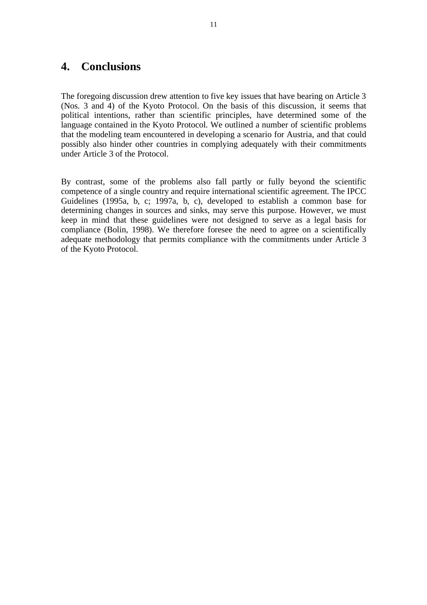### **4. Conclusions**

The foregoing discussion drew attention to five key issues that have bearing on Article 3 (Nos. 3 and 4) of the Kyoto Protocol. On the basis of this discussion, it seems that political intentions, rather than scientific principles, have determined some of the language contained in the Kyoto Protocol. We outlined a number of scientific problems that the modeling team encountered in developing a scenario for Austria, and that could possibly also hinder other countries in complying adequately with their commitments under Article 3 of the Protocol.

By contrast, some of the problems also fall partly or fully beyond the scientific competence of a single country and require international scientific agreement. The IPCC Guidelines (1995a, b, c; 1997a, b, c), developed to establish a common base for determining changes in sources and sinks, may serve this purpose. However, we must keep in mind that these guidelines were not designed to serve as a legal basis for compliance (Bolin, 1998). We therefore foresee the need to agree on a scientifically adequate methodology that permits compliance with the commitments under Article 3 of the Kyoto Protocol.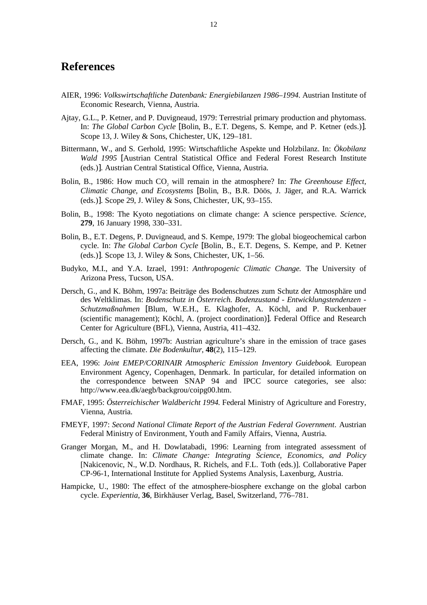#### **References**

- AIER, 1996: *Volkswirtschaftliche Datenbank: Energiebilanzen 1986–1994.* Austrian Institute of Economic Research, Vienna, Austria.
- Ajtay, G.L., P. Ketner, and P. Duvigneaud, 1979: Terrestrial primary production and phytomass. In: *The Global Carbon Cycle* [Bolin, B., E.T. Degens, S. Kempe, and P. Ketner (eds.)]. Scope 13, J. Wiley & Sons, Chichester, UK, 129–181.
- Bittermann, W., and S. Gerhold, 1995: Wirtschaftliche Aspekte und Holzbilanz. In: *Ökobilanz Wald 1995* [Austrian Central Statistical Office and Federal Forest Research Institute (eds.)]. Austrian Central Statistical Office, Vienna, Austria.
- Bolin, B., 1986: How much CO<sub>2</sub> will remain in the atmosphere? In: *The Greenhouse Effect*, *Climatic Change, and Ecosystems* [Bolin, B., B.R. Döös, J. Jäger, and R.A. Warrick (eds.)]. Scope 29, J. Wiley & Sons, Chichester, UK, 93–155.
- Bolin, B., 1998: The Kyoto negotiations on climate change: A science perspective. *Science*, **279**, 16 January 1998, 330–331.
- Bolin, B., E.T. Degens, P. Duvigneaud, and S. Kempe, 1979: The global biogeochemical carbon cycle. In: *The Global Carbon Cycle* [Bolin, B., E.T. Degens, S. Kempe, and P. Ketner (eds.)]. Scope 13, J. Wiley & Sons, Chichester, UK, 1–56.
- Budyko, M.I., and Y.A. Izrael, 1991: *Anthropogenic Climatic Change.* The University of Arizona Press, Tucson, USA.
- Dersch, G., and K. Böhm, 1997a: Beiträge des Bodenschutzes zum Schutz der Atmosphäre und des Weltklimas. In: *Bodenschutz in Österreich. Bodenzustand - Entwicklungstendenzen - Schutzmaßnahmen* [Blum, W.E.H., E. Klaghofer, A. Köchl, and P. Ruckenbauer (scientific management); Köchl, A. (project coordination)]. Federal Office and Research Center for Agriculture (BFL), Vienna, Austria, 411–432.
- Dersch, G., and K. Böhm, 1997b: Austrian agriculture's share in the emission of trace gases affecting the climate. *Die Bodenkultur*, **48**(2), 115–129.
- EEA, 1996: *Joint EMEP/CORINAIR Atmospheric Emission Inventory Guidebook.* European Environment Agency, Copenhagen, Denmark. In particular, for detailed information on the correspondence between SNAP 94 and IPCC source categories, see also: http://www.eea.dk/aegb/backgrou/coipg00.htm.
- FMAF, 1995: *Österreichischer Waldbericht 1994.* Federal Ministry of Agriculture and Forestry, Vienna, Austria.
- FMEYF, 1997: *Second National Climate Report of the Austrian Federal Government*. Austrian Federal Ministry of Environment, Youth and Family Affairs, Vienna, Austria.
- Granger Morgan, M., and H. Dowlatabadi, 1996: Learning from integrated assessment of climate change. In: *Climate Change: Integrating Science, Economics, and Policy* [Nakicenovic, N., W.D. Nordhaus, R. Richels, and F.L. Toth (eds.)]. Collaborative Paper CP-96-1, International Institute for Applied Systems Analysis, Laxenburg, Austria.
- Hampicke, U., 1980: The effect of the atmosphere-biosphere exchange on the global carbon cycle. *Experientia*, **36**, Birkhäuser Verlag, Basel, Switzerland, 776–781.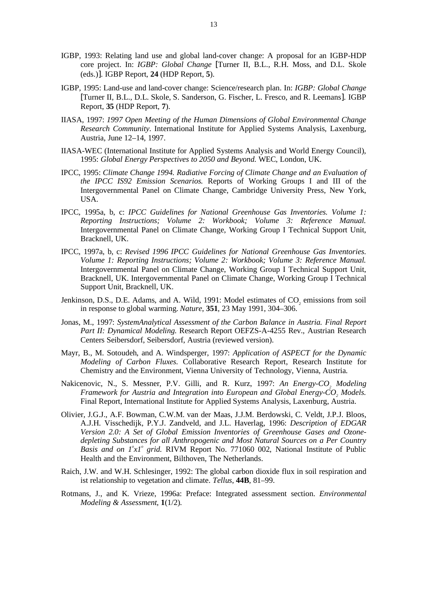- IGBP, 1993: Relating land use and global land-cover change: A proposal for an IGBP-HDP core project. In: *IGBP: Global Change* [Turner II, B.L., R.H. Moss, and D.L. Skole (eds.)]. IGBP Report, **24** (HDP Report, **5**).
- IGBP, 1995: Land-use and land-cover change: Science/research plan. In: *IGBP: Global Change* [Turner II, B.L., D.L. Skole, S. Sanderson, G. Fischer, L. Fresco, and R. Leemans]. IGBP Report, **35** (HDP Report, **7**).
- IIASA, 1997: *1997 Open Meeting of the Human Dimensions of Global Environmental Change Research Community.* International Institute for Applied Systems Analysis, Laxenburg, Austria, June 12–14, 1997.
- IIASA-WEC (International Institute for Applied Systems Analysis and World Energy Council), 1995: *Global Energy Perspectives to 2050 and Beyond.* WEC, London, UK.
- IPCC, 1995: *Climate Change 1994. Radiative Forcing of Climate Change and an Evaluation of the IPCC IS92 Emission Scenarios.* Reports of Working Groups I and III of the Intergovernmental Panel on Climate Change, Cambridge University Press, New York, USA.
- IPCC, 1995a, b, c: *IPCC Guidelines for National Greenhouse Gas Inventories. Volume 1: Reporting Instructions; Volume 2: Workbook; Volume 3: Reference Manual.* Intergovernmental Panel on Climate Change, Working Group I Technical Support Unit, Bracknell, UK.
- IPCC, 1997a, b, c: *Revised 1996 IPCC Guidelines for National Greenhouse Gas Inventories. Volume 1: Reporting Instructions; Volume 2: Workbook; Volume 3: Reference Manual.* Intergovernmental Panel on Climate Change, Working Group I Technical Support Unit, Bracknell, UK. Intergovernmental Panel on Climate Change, Working Group I Technical Support Unit, Bracknell, UK.
- Jenkinson, D.S., D.E. Adams, and A. Wild, 1991: Model estimates of  $CO<sub>2</sub>$  emissions from soil in response to global warming. *Nature*, **351**, 23 May 1991, 304–306.
- Jonas, M., 1997: *SystemAnalytical Assessment of the Carbon Balance in Austria. Final Report Part II: Dynamical Modeling.* Research Report OEFZS-A-4255 Rev., Austrian Research Centers Seibersdorf, Seibersdorf, Austria (reviewed version).
- Mayr, B., M. Sotoudeh, and A. Windsperger, 1997: *Application of ASPECT for the Dynamic Modeling of Carbon Fluxes.* Collaborative Research Report, Research Institute for Chemistry and the Environment, Vienna University of Technology, Vienna, Austria.
- Nakicenovic, N., S. Messner, P.V. Gilli, and R. Kurz, 1997: *An Energy-CO<sub>2</sub> Modeling Framework for Austria and Integration into European and Global Energy-CO<sub>2</sub> Models.* Final Report, International Institute for Applied Systems Analysis, Laxenburg, Austria.
- Olivier, J.G.J., A.F. Bowman, C.W.M. van der Maas, J.J.M. Berdowski, C. Veldt, J.P.J. Bloos, A.J.H. Visschedijk, P.Y.J. Zandveld, and J.L. Haverlag, 1996: *Description of EDGAR Version 2.0: A Set of Global Emission Inventories of Greenhouse Gases and Ozonedepleting Substances for all Anthropogenic and Most Natural Sources on a Per Country* Basis and on  $1^{\circ}x1^{\circ}$  grid. RIVM Report No. 771060 002, National Institute of Public Health and the Environment, Bilthoven, The Netherlands.
- Raich, J.W. and W.H. Schlesinger, 1992: The global carbon dioxide flux in soil respiration and ist relationship to vegetation and climate. *Tellus*, **44B**, 81–99.
- Rotmans, J., and K. Vrieze, 1996a: Preface: Integrated assessment section. *Environmental Modeling & Assessment*, **1**(1/2).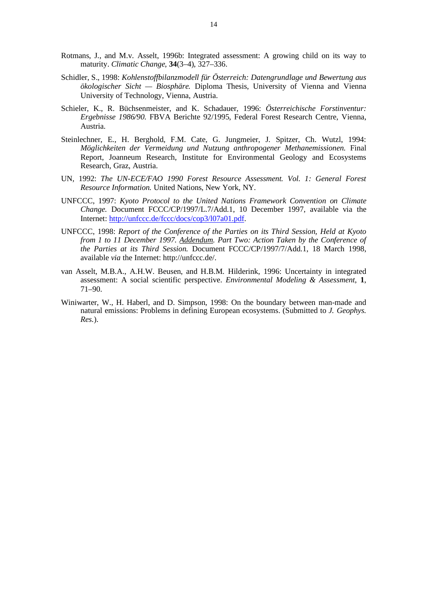- Rotmans, J., and M.v. Asselt, 1996b: Integrated assessment: A growing child on its way to maturity. *Climatic Change*, **34**(3–4), 327–336.
- Schidler, S., 1998: *Kohlenstoffbilanzmodell für Österreich: Datengrundlage und Bewertung aus ökologischer Sicht — Biosphäre.* Diploma Thesis, University of Vienna and Vienna University of Technology, Vienna, Austria.
- Schieler, K., R. Büchsenmeister, and K. Schadauer, 1996: *Österreichische Forstinventur: Ergebnisse 1986/90.* FBVA Berichte 92/1995, Federal Forest Research Centre, Vienna, Austria.
- Steinlechner, E., H. Berghold, F.M. Cate, G. Jungmeier, J. Spitzer, Ch. Wutzl, 1994: *Möglichkeiten der Vermeidung und Nutzung anthropogener Methanemissionen.* Final Report, Joanneum Research, Institute for Environmental Geology and Ecosystems Research, Graz, Austria.
- UN, 1992: *The UN-ECE/FAO 1990 Forest Resource Assessment. Vol. 1: General Forest Resource Information.* United Nations, New York, NY.
- UNFCCC, 1997: *Kyoto Protocol to the United Nations Framework Convention on Climate Change.* Document FCCC/CP/1997/L.7/Add.1, 10 December 1997, available via the Internet: http://unfccc.de/fccc/docs/cop3/l07a01.pdf.
- UNFCCC, 1998: *Report of the Conference of the Parties on its Third Session, Held at Kyoto from 1 to 11 December 1997. Addendum. Part Two: Action Taken by the Conference of the Parties at its Third Session.* Document FCCC/CP/1997/7/Add.1, 18 March 1998, available *via* the Internet: http://unfccc.de/.
- van Asselt, M.B.A., A.H.W. Beusen, and H.B.M. Hilderink, 1996: Uncertainty in integrated assessment: A social scientific perspective. *Environmental Modeling & Assessment*, **1**, 71–90.
- Winiwarter, W., H. Haberl, and D. Simpson, 1998: On the boundary between man-made and natural emissions: Problems in defining European ecosystems. (Submitted to *J. Geophys. Res.*).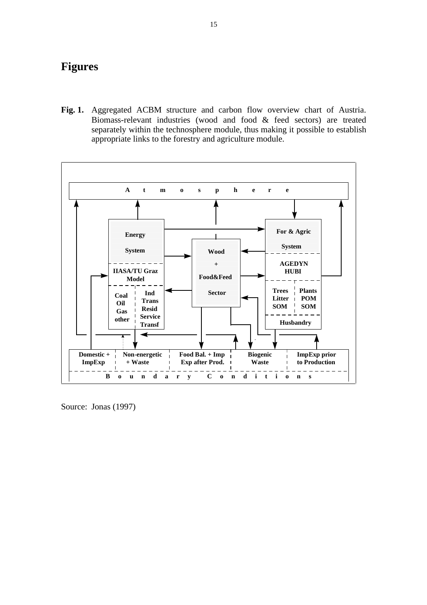# **Figures**

**Fig. 1.** Aggregated ACBM structure and carbon flow overview chart of Austria. Biomass-relevant industries (wood and food & feed sectors) are treated separately within the technosphere module, thus making it possible to establish appropriate links to the forestry and agriculture module.



Source: Jonas (1997)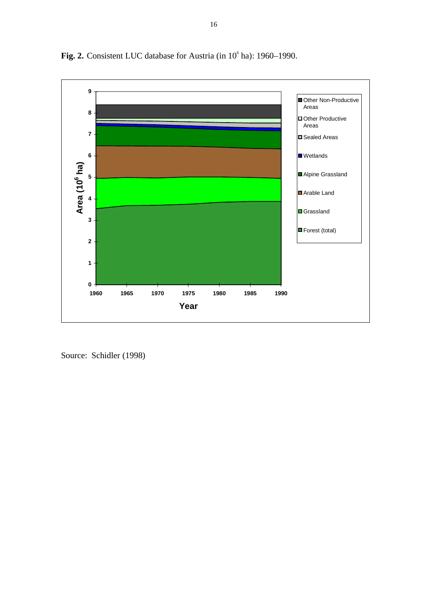

Fig. 2. Consistent LUC database for Austria (in 10<sup>6</sup> ha): 1960–1990.

Source: Schidler (1998)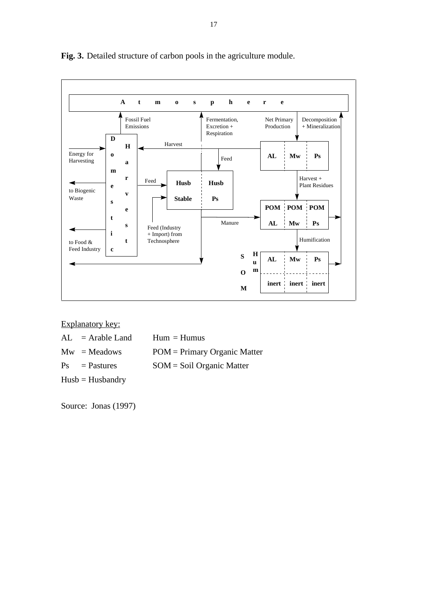

**Fig. 3.** Detailed structure of carbon pools in the agriculture module.

Explanatory key:

| $AL = Arable Land$ | $Hum = Humus$                |
|--------------------|------------------------------|
| $Mw = Meadows$     | POM = Primary Organic Matter |
| $Ps =$ Pastures    | $SOM = Soil$ Organic Matter  |
| $Husb = Husbandry$ |                              |

Source: Jonas (1997)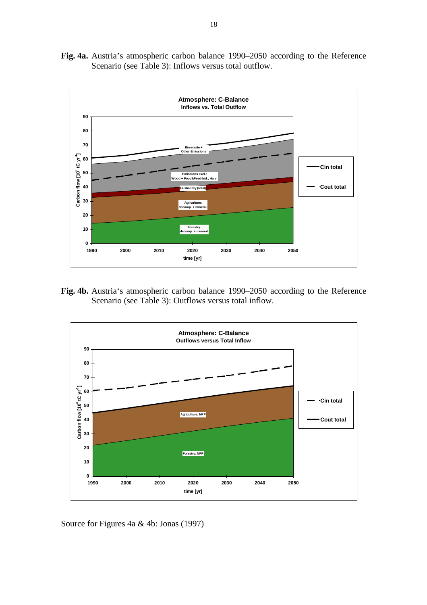**Fig. 4a.** Austria's atmospheric carbon balance 1990–2050 according to the Reference Scenario (see Table 3): Inflows versus total outflow.



**Fig. 4b.** Austria's atmospheric carbon balance 1990–2050 according to the Reference Scenario (see Table 3): Outflows versus total inflow.



Source for Figures 4a & 4b: Jonas (1997)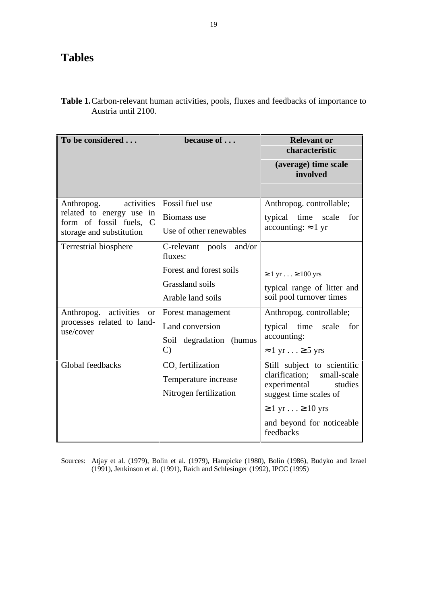# **Tables**

| <b>Table 1.</b> Carbon-relevant human activities, pools, fluxes and feedbacks of importance to |  |  |
|------------------------------------------------------------------------------------------------|--|--|
| Austria until 2100.                                                                            |  |  |

| To be considered                                    | because of                               | <b>Relevant or</b><br>characteristic<br>(average) time scale |
|-----------------------------------------------------|------------------------------------------|--------------------------------------------------------------|
|                                                     |                                          | involved                                                     |
| activities<br>Anthropog.                            | Fossil fuel use                          | Anthropog. controllable;                                     |
| related to energy use in<br>form of fossil fuels, C | Biomass use                              | typical<br>time scale<br>for                                 |
| storage and substitution                            | Use of other renewables                  | accounting: $\approx 1$ yr                                   |
| Terrestrial biosphere                               | C-relevant pools<br>and/or<br>fluxes:    |                                                              |
|                                                     | Forest and forest soils                  | $\geq 1$ yr $\geq 100$ yrs                                   |
|                                                     | Grassland soils                          | typical range of litter and                                  |
|                                                     | Arable land soils                        | soil pool turnover times                                     |
| Anthropog. activities or                            | Forest management                        | Anthropog. controllable;                                     |
| processes related to land-<br>use/cover             | Land conversion                          | typical time<br>for<br>scale                                 |
|                                                     | Soil degradation (humus<br>$\mathcal{C}$ | accounting:                                                  |
|                                                     |                                          | $\approx 1$ yr $\geq 5$ yrs                                  |
| Global feedbacks                                    | CO <sub>2</sub> fertilization            | Still subject to scientific                                  |
|                                                     | Temperature increase                     | clarification;<br>small-scale<br>experimental<br>studies     |
|                                                     | Nitrogen fertilization                   | suggest time scales of                                       |
|                                                     |                                          | $\geq 1$ yr $\geq 10$ yrs                                    |
|                                                     |                                          | and beyond for noticeable<br>feedbacks                       |

Sources: Atjay et al*.* (1979), Bolin et al*.* (1979), Hampicke (1980), Bolin (1986), Budyko and Izrael (1991), Jenkinson et al. (1991), Raich and Schlesinger (1992), IPCC (1995)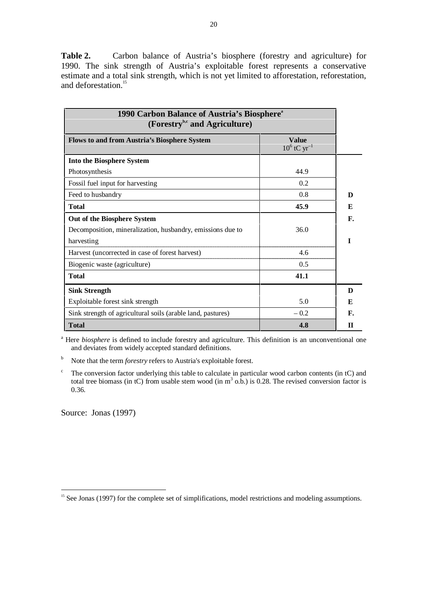**Table 2.** Carbon balance of Austria's biosphere (forestry and agriculture) for 1990. The sink strength of Austria's exploitable forest represents a conservative estimate and a total sink strength, which is not yet limited to afforestation, reforestation, and deforestation<sup>15</sup>

| 1990 Carbon Balance of Austria's Biosphere <sup>®</sup><br>(Forestry <sup>b,c</sup> and Agriculture) |        |    |  |
|------------------------------------------------------------------------------------------------------|--------|----|--|
| <b>Value</b><br><b>Flows to and from Austria's Biosphere System</b><br>$10^6$ tC yr <sup>-1</sup>    |        |    |  |
| <b>Into the Biosphere System</b>                                                                     |        |    |  |
| Photosynthesis                                                                                       | 44.9   |    |  |
| Fossil fuel input for harvesting                                                                     | 0.2    |    |  |
| Feed to husbandry                                                                                    | 0.8    | D  |  |
| <b>Total</b>                                                                                         | 45.9   | E  |  |
| Out of the Biosphere System                                                                          |        | F. |  |
| Decomposition, mineralization, husbandry, emissions due to                                           | 36.0   |    |  |
| harvesting                                                                                           |        | T  |  |
| Harvest (uncorrected in case of forest harvest)                                                      | 4.6    |    |  |
| Biogenic waste (agriculture)                                                                         | 0.5    |    |  |
| <b>Total</b>                                                                                         | 41.1   |    |  |
| <b>Sink Strength</b>                                                                                 |        | D  |  |
| Exploitable forest sink strength                                                                     | 5.0    | E  |  |
| Sink strength of agricultural soils (arable land, pastures)                                          | $-0.2$ | F. |  |
| <b>Total</b><br>4.8                                                                                  |        |    |  |

<sup>a</sup> Here *biosphere* is defined to include forestry and agriculture. This definition is an unconventional one and deviates from widely accepted standard definitions.

- <sup>b</sup> Note that the term *forestry* refers to Austria's exploitable forest.
- $\degree$  The conversion factor underlying this table to calculate in particular wood carbon contents (in tC) and total tree biomass (in tC) from usable stem wood (in  $m^3$  o.b.) is 0.28. The revised conversion factor is 0.36.

Source: Jonas (1997)

<sup>&</sup>lt;sup>15</sup> See Jonas (1997) for the complete set of simplifications, model restrictions and modeling assumptions.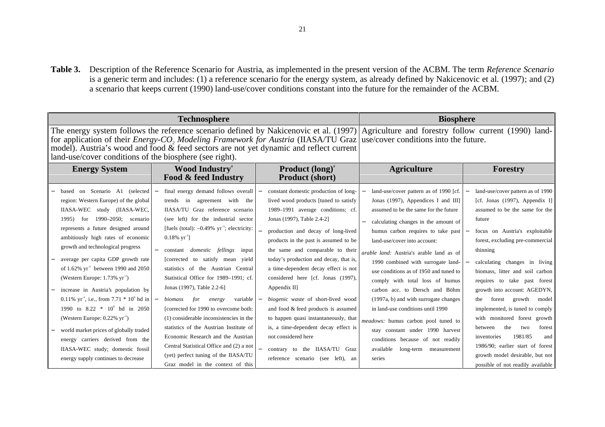**Table 3.** Description of the Reference Scenario for Austria, as implemented in the present version of the ACBM. The term *Reference Scenario* is a generic term and includes: (1) a reference scenario for the energy system, as already defined by Nakicenovic et al. (1997); and (2) a scenario that keeps current (1990) land-use/cover conditions constant into the future for the remainder of the ACBM.

|                                                                                                                                                                                                                                                                                                                                                                                                                                                                                                                                                                                                                                                                                                                                                               | <b>Technosphere</b>                                                                                                                                                                                                                                                                                                                                                                                                                                                                                                                                                                                                                                                                                                                                                                                            | <b>Biosphere</b>                                                                                                                                                                                                                                                                                                                                                                                                                                                                                                                                                                                                                                                           |                                                                                                                                                                                                                                                                                                                                                                                                                                                                                                                                                                                                                                                                                  |                                                                                                                                                                                                                                                                                                                                                                                                                                                                                                                                                                                                                              |
|---------------------------------------------------------------------------------------------------------------------------------------------------------------------------------------------------------------------------------------------------------------------------------------------------------------------------------------------------------------------------------------------------------------------------------------------------------------------------------------------------------------------------------------------------------------------------------------------------------------------------------------------------------------------------------------------------------------------------------------------------------------|----------------------------------------------------------------------------------------------------------------------------------------------------------------------------------------------------------------------------------------------------------------------------------------------------------------------------------------------------------------------------------------------------------------------------------------------------------------------------------------------------------------------------------------------------------------------------------------------------------------------------------------------------------------------------------------------------------------------------------------------------------------------------------------------------------------|----------------------------------------------------------------------------------------------------------------------------------------------------------------------------------------------------------------------------------------------------------------------------------------------------------------------------------------------------------------------------------------------------------------------------------------------------------------------------------------------------------------------------------------------------------------------------------------------------------------------------------------------------------------------------|----------------------------------------------------------------------------------------------------------------------------------------------------------------------------------------------------------------------------------------------------------------------------------------------------------------------------------------------------------------------------------------------------------------------------------------------------------------------------------------------------------------------------------------------------------------------------------------------------------------------------------------------------------------------------------|------------------------------------------------------------------------------------------------------------------------------------------------------------------------------------------------------------------------------------------------------------------------------------------------------------------------------------------------------------------------------------------------------------------------------------------------------------------------------------------------------------------------------------------------------------------------------------------------------------------------------|
| land-use/cover conditions of the biosphere (see right).                                                                                                                                                                                                                                                                                                                                                                                                                                                                                                                                                                                                                                                                                                       | model). Austria's wood and food & feed sectors are not yet dynamic and reflect current                                                                                                                                                                                                                                                                                                                                                                                                                                                                                                                                                                                                                                                                                                                         | The energy system follows the reference scenario defined by Nakicenovic et al. $(1997)$ Agriculture and forestry follow current (1990) land-<br>for application of their <i>Energy-CO</i> , <i>Modeling Framework for Austria</i> (IIASA/TU Graz use/cover conditions into the future.                                                                                                                                                                                                                                                                                                                                                                                     |                                                                                                                                                                                                                                                                                                                                                                                                                                                                                                                                                                                                                                                                                  |                                                                                                                                                                                                                                                                                                                                                                                                                                                                                                                                                                                                                              |
| <b>Wood Industry</b> <sup>a</sup><br><b>Energy System</b><br>Food & feed Industry                                                                                                                                                                                                                                                                                                                                                                                                                                                                                                                                                                                                                                                                             |                                                                                                                                                                                                                                                                                                                                                                                                                                                                                                                                                                                                                                                                                                                                                                                                                | <b>Product (long)<sup>a</sup></b><br><b>Product (short)</b>                                                                                                                                                                                                                                                                                                                                                                                                                                                                                                                                                                                                                | <b>Agriculture</b>                                                                                                                                                                                                                                                                                                                                                                                                                                                                                                                                                                                                                                                               | Forestry                                                                                                                                                                                                                                                                                                                                                                                                                                                                                                                                                                                                                     |
| based on Scenario A1 (selected<br>region: Western Europe) of the global<br>IIASA-WEC study (IIASA-WEC,<br>for $1990-2050$ ; scenario<br>1995)<br>represents a future designed around<br>ambitiously high rates of economic<br>growth and technological progress<br>average per capita GDP growth rate<br>of 1.62% $yr^{-1}$ between 1990 and 2050<br>(Western Europe: $1.73\%$ yr <sup>-1</sup> )<br>increase in Austria's population by<br>0.11% $yr^{-1}$ , i.e., from 7.71 $*$ 10 <sup>6</sup> hd in<br>1990 to 8.22 * 10 <sup>6</sup> hd in 2050<br>(Western Europe: $0.22\%$ yr <sup>-1</sup> )<br>world market prices of globally traded<br>energy carriers derived from the<br>IIASA-WEC study; domestic fossil<br>energy supply continues to decrease | final energy demand follows overall<br>$\overline{\phantom{m}}$<br>trends in agreement with the<br>IIASA/TU Graz reference scenario<br>(see left) for the industrial sector<br>[fuels (total): $-0.49\%$ yr <sup>-1</sup> ; electricity:<br>$0.18\% \text{ yr}^{-1}$ ]<br>constant <i>domestic</i> fellings<br>input<br>[corrected to satisfy mean<br>vield<br>statistics of the Austrian Central<br>Statistical Office for 1989–1991: cf.<br>Jonas (1997), Table 2.2-6]<br>for<br>biomass<br>variable<br>energy<br>[corrected for 1990 to overcome both:<br>(1) considerable inconsistencies in the<br>statistics of the Austrian Institute of<br>Economic Research and the Austrian<br>Central Statistical Office and (2) a not<br>(yet) perfect tuning of the IIASA/TU<br>Graz model in the context of this | constant domestic production of long-<br>lived wood products [tuned to satisfy<br>1989-1991 average conditions; cf.<br>Jonas (1997), Table 2.4-2]<br>production and decay of long-lived<br>products in the past is assumed to be<br>the same and comparable to their<br>today's production and decay, that is,<br>a time-dependent decay effect is not<br>considered here [cf. Jonas (1997),<br>Appendix $II$ ]<br>biogenic waste of short-lived wood<br>and food & feed products is assumed<br>to happen quasi instantaneously, that<br>is, a time-dependent decay effect is<br>not considered here<br>contrary to the IIASA/TU Graz<br>reference scenario (see left), an | land-use/cover pattern as of 1990 [cf.<br>Jonas (1997), Appendices I and III]<br>assumed to be the same for the future<br>calculating changes in the amount of<br>humus carbon requires to take past<br>land-use/cover into account:<br>arable land: Austria's arable land as of<br>1990 combined with surrogate land-<br>use conditions as of 1950 and tuned to<br>comply with total loss of humus<br>carbon acc. to Dersch and Böhm<br>(1997a, b) and with surrogate changes<br>in land-use conditions until 1990<br>meadows: humus carbon pool tuned to<br>stay constant under 1990 harvest<br>conditions because of not readily<br>available long-term measurement<br>series | land-use/cover pattern as of 1990<br>[cf. Jonas $(1997)$ , Appendix I]<br>assumed to be the same for the<br>future<br>focus on Austria's exploitable<br>forest, excluding pre-commercial<br>thinning<br>calculating changes in living<br>biomass, litter and soil carbon<br>requires to take past forest<br>growth into account: AGEDYN,<br>forest growth<br>model<br>the<br>implemented, is tuned to comply<br>with monitored forest growth<br>forest<br>between<br>the<br>two<br>1981/85<br>inventories<br>and<br>1986/90; earlier start of forest<br>growth model desirable, but not<br>possible of not readily available |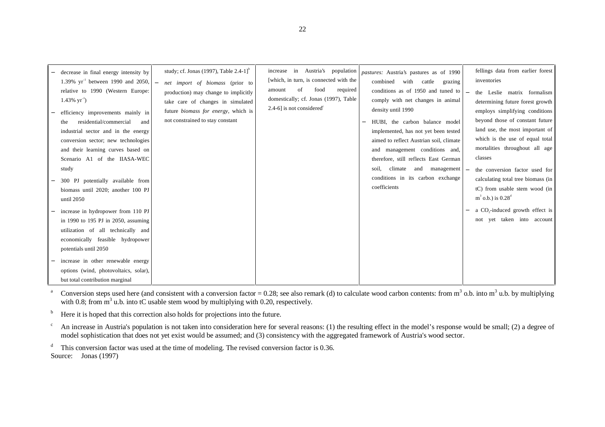| decrease in final energy intensity by<br>1.39% $yr^{-1}$ between 1990 and 2050,<br>relative to 1990 (Western Europe:<br>$1.43\%$ yr <sup>-1</sup> )<br>efficiency improvements mainly in<br>residential/commercial<br>and<br>the<br>industrial sector and in the energy<br>conversion sector; new technologies<br>and their learning curves based on<br>Scenario A1 of the IIASA-WEC | study; cf. Jonas (1997), Table $2.4-1$ <sup>b</sup><br>net import of biomass (prior to<br>production) may change to implicitly<br>take care of changes in simulated<br>future <i>biomass for energy</i> , which is<br>not constrained to stay constant | increase in Austria's population<br>[which, in turn, is connected with the<br>of<br>food<br>required<br>amount<br>domestically; cf. Jonas (1997), Table<br>2.4-6] is not considered $\epsilon$ | pastures: Austria's pastures as of 1990<br>combined<br>with<br>cattle<br>grazing<br>conditions as of 1950 and tuned to $\vert$ =<br>comply with net changes in animal<br>density until 1990<br>HUBI, the carbon balance model<br>implemented, has not yet been tested<br>aimed to reflect Austrian soil, climate<br>and management conditions and,<br>therefore, still reflects East German | fellings data from earlier forest<br>inventories<br>the Leslie matrix formalism<br>determining future forest growth<br>employs simplifying conditions<br>beyond those of constant future<br>land use, the most important of<br>which is the use of equal total<br>mortalities throughout all age<br>classes |
|--------------------------------------------------------------------------------------------------------------------------------------------------------------------------------------------------------------------------------------------------------------------------------------------------------------------------------------------------------------------------------------|--------------------------------------------------------------------------------------------------------------------------------------------------------------------------------------------------------------------------------------------------------|------------------------------------------------------------------------------------------------------------------------------------------------------------------------------------------------|---------------------------------------------------------------------------------------------------------------------------------------------------------------------------------------------------------------------------------------------------------------------------------------------------------------------------------------------------------------------------------------------|-------------------------------------------------------------------------------------------------------------------------------------------------------------------------------------------------------------------------------------------------------------------------------------------------------------|
| study<br>300 PJ potentially available from<br>biomass until 2020; another 100 PJ<br>until 2050<br>increase in hydropower from 110 PJ                                                                                                                                                                                                                                                 |                                                                                                                                                                                                                                                        |                                                                                                                                                                                                | $climate$ and management $\Box$<br>soil.<br>conditions in its carbon exchange<br>coefficients                                                                                                                                                                                                                                                                                               | the conversion factor used for<br>calculating total tree biomass (in<br>tC) from usable stem wood (in<br>$m^3$ o.b.) is $0.28^d$<br>a CO <sub>2</sub> -induced growth effect is                                                                                                                             |
| in 1990 to 195 PJ in 2050, assuming<br>utilization of all technically and<br>economically feasible hydropower<br>potentials until 2050<br>increase in other renewable energy<br>options (wind, photovoltaics, solar),<br>but total contribution marginal                                                                                                                             |                                                                                                                                                                                                                                                        |                                                                                                                                                                                                |                                                                                                                                                                                                                                                                                                                                                                                             | not yet taken into account                                                                                                                                                                                                                                                                                  |

<sup>a</sup> Conversion steps used here (and consistent with a conversion factor = 0.28; see also remark (d) to calculate wood carbon contents: from m<sup>3</sup> o.b. into m<sup>3</sup> u.b. by multiplying with 0.8; from  $m<sup>3</sup>$  u.b. into tC usable stem wood by multiplying with 0.20, respectively.

 $b$  Here it is hoped that this correction also holds for projections into the future.

 $c<sup>c</sup>$  An increase in Austria's population is not taken into consideration here for several reasons: (1) the resulting effect in the model's response would be small; (2) a degree of model sophistication that does not yet exist would be assumed; and (3) consistency with the aggregated framework of Austria's wood sector.

 $d$  This conversion factor was used at the time of modeling. The revised conversion factor is 0.36. Source: Jonas (1997)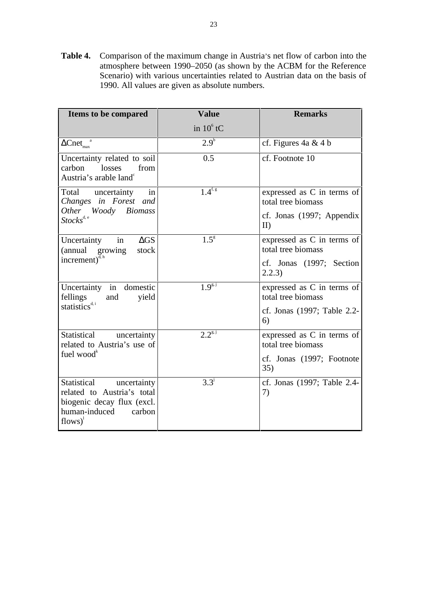**Table 4.** Comparison of the maximum change in Austria's net flow of carbon into the atmosphere between 1990–2050 (as shown by the ACBM for the Reference Scenario) with various uncertainties related to Austrian data on the basis of 1990. All values are given as absolute numbers.

| Items to be compared                                                                                                           | <b>Value</b>     | <b>Remarks</b>                                   |
|--------------------------------------------------------------------------------------------------------------------------------|------------------|--------------------------------------------------|
|                                                                                                                                | in $10^6$ tC     |                                                  |
| $\Delta \text{Cnet}_{\text{max}}$ <sup>2</sup>                                                                                 | $2.9^{b}$        | cf. Figures $4a \& 4b$                           |
| Uncertainty related to soil<br>carbon<br>losses<br>from<br>Austria's arable land <sup>°</sup>                                  | 0.5              | cf. Footnote 10                                  |
| Total uncertainty<br>in<br>Changes in Forest and                                                                               | $1.4^{f, g}$     | expressed as C in terms of<br>total tree biomass |
| Woody Biomass<br><i>Other</i><br>$Stocks^{\text{d}, e}$                                                                        |                  | cf. Jonas (1997; Appendix<br>II)                 |
| in<br>$\Delta GS$<br>Uncertainty<br>(annual growing<br>stock                                                                   | 1.5 <sup>g</sup> | expressed as C in terms of<br>total tree biomass |
| increment) $\delta$ , h                                                                                                        |                  | cf. Jonas (1997; Section<br>2.2.3)               |
| Uncertainty in domestic<br>fellings<br>and<br>yield                                                                            | $1.9^{g,j}$      | expressed as C in terms of<br>total tree biomass |
| statistics <sup>d, i</sup>                                                                                                     |                  | cf. Jonas (1997; Table 2.2-<br>6)                |
| Statistical uncertainty<br>related to Austria's use of                                                                         | $2.2^{s,j}$      | expressed as C in terms of<br>total tree biomass |
| fuel wood <sup>k</sup>                                                                                                         |                  | cf. Jonas (1997; Footnote<br>35)                 |
| Statistical uncertainty<br>related to Austria's total<br>biogenic decay flux (excl.<br>human-induced<br>carbon<br>$flows)^{1}$ | $3.3^{j}$        | cf. Jonas (1997; Table 2.4-<br>7)                |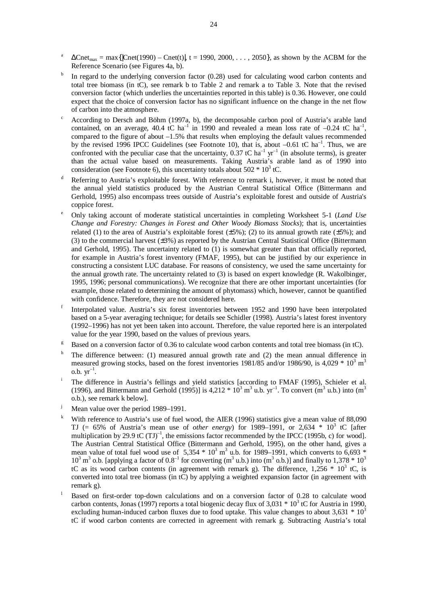- $\Delta$ Cnet<sub>max</sub> = max{|Cnet(1990) Cnet(t)|, t = 1990, 2000, . . . , 2050}, as shown by the ACBM for the Reference Scenario (see Figures 4a, b).
- In regard to the underlying conversion factor  $(0.28)$  used for calculating wood carbon contents and total tree biomass (in tC), see remark b to Table 2 and remark a to Table 3. Note that the revised conversion factor (which underlies the uncertainties reported in this table) is 0.36. However, one could expect that the choice of conversion factor has no significant influence on the change in the net flow of carbon into the atmosphere.
- <sup>c</sup> According to Dersch and Böhm (1997a, b), the decomposable carbon pool of Austria's arable land contained, on an average, 40.4 tC ha<sup>-1</sup> in 1990 and revealed a mean loss rate of  $-0.24$  tC ha<sup>-1</sup>, compared to the figure of about –1.5% that results when employing the default values recommended by the revised 1996 IPCC Guidelines (see Footnote 10), that is, about  $-0.61$  tC ha<sup>-1</sup>. Thus, we are by the revised 1990 IFCC Guidelines (see Footnote 10), and is, about  $\frac{1}{2}$  yr<sup>-1</sup> (in absolute terms), is greater confronted with the peculiar case that the uncertainty, 0.37 tC ha<sup>-1</sup> yr<sup>-1</sup> (in absolute terms), is g than the actual value based on measurements. Taking Austria's arable land as of 1990 into consideration (see Footnote 6), this uncertainty totals about  $502 * 10<sup>3</sup>$  tC.
- Referring to Austria's exploitable forest. With reference to remark i, however, it must be noted that the annual yield statistics produced by the Austrian Central Statistical Office (Bittermann and Gerhold, 1995) also encompass trees outside of Austria's exploitable forest and outside of Austria's coppice forest.
- <sup>e</sup> Only taking account of moderate statistical uncertainties in completing Worksheet 5-1 (*Land Use Change and Forestry: Changes in Forest and Other Woody Biomass Stocks*); that is, uncertainties related (1) to the area of Austria's exploitable forest  $(\pm 5\%)$ ; (2) to its annual growth rate  $(\pm 5\%)$ ; and (3) to the commercial harvest (±3%) as reported by the Austrian Central Statistical Office (Bittermann and Gerhold, 1995). The uncertainty related to (1) is somewhat greater than that officially reported, for example in Austria's forest inventory (FMAF, 1995), but can be justified by our experience in constructing a consistent LUC database. For reasons of consistency, we used the same uncertainty for the annual growth rate. The uncertainty related to (3) is based on expert knowledge (R. Wakolbinger, 1995, 1996; personal communications). We recognize that there are other important uncertainties (for example, those related to determining the amount of phytomass) which, however, cannot be quantified with confidence. Therefore, they are not considered here.
- <sup>f</sup> Interpolated value. Austria's six forest inventories between 1952 and 1990 have been interpolated based on a 5-year averaging technique; for details see Schidler (1998). Austria's latest forest inventory (1992–1996) has not yet been taken into account. Therefore, the value reported here is an interpolated value for the year 1990, based on the values of previous years.
- <sup>g</sup> Based on a conversion factor of 0.36 to calculate wood carbon contents and total tree biomass (in tC).
- <sup>h</sup> The difference between: (1) measured annual growth rate and (2) the mean annual difference in measured growing stocks, based on the forest inventories 1981/85 and/or 1986/90, is 4,029  $*$  10<sup>3</sup> m<sup>3</sup> o.b.  $yr^{-1}$ .
- The difference in Austria's fellings and yield statistics [according to FMAF (1995), Schieler et al. (1996), and Bittermann and Gerhold (1995)] is 4,212  $*$  10<sup>3</sup> m<sup>3</sup> u.b. yr<sup>-1</sup>. To convert (m<sup>3</sup> u.b.) into (m<sup>3</sup> o.b.), see remark k below].
- <sup>j</sup> Mean value over the period 1989–1991.
- With reference to Austria's use of fuel wood, the AIER (1996) statistics give a mean value of 88,090 TJ  $(= 65\%$  of Austria's mean use of *other energy*) for 1989–1991, or 2,634  $*$  10<sup>3</sup> tC [after multiplication by 29.9 tC  $(TJ)^{-1}$ , the emissions factor recommended by the IPCC (1995b, c) for wood]. The Austrian Central Statistical Office (Bittermann and Gerhold, 1995), on the other hand, gives a mean value of total fuel wood use of 5,354  $*$  10<sup>3</sup> m<sup>3</sup> u.b. for 1989–1991, which converts to 6,693  $*$  $10^3$  m<sup>3</sup> o.b. [applying a factor of  $0.8^{-1}$  for converting (m<sup>3</sup> u.b.) into (m<sup>3</sup> o.b.)] and finally to 1,378  $*$  10<sup>3</sup> tC as its wood carbon contents (in agreement with remark g). The difference,  $1,256 * 10^3$  tC, is converted into total tree biomass (in tC) by applying a weighted expansion factor (in agreement with remark g).
- <sup>l</sup> Based on first-order top-down calculations and on a conversion factor of 0.28 to calculate wood carbon contents, Jonas (1997) reports a total biogenic decay flux of  $3,031 * 10<sup>3</sup>$  tC for Austria in 1990, excluding human-induced carbon fluxes due to food uptake. This value changes to about  $3{,}631 * 10<sup>3</sup>$ tC if wood carbon contents are corrected in agreement with remark g. Subtracting Austria's total